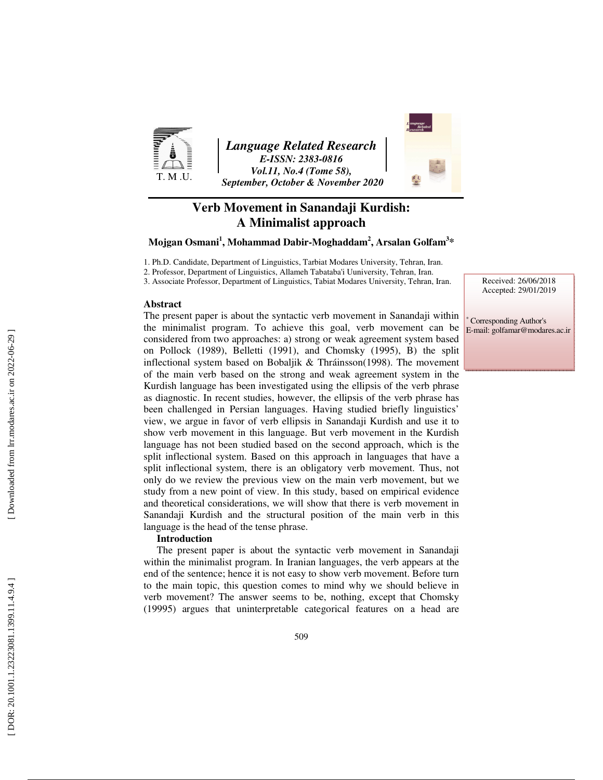

*Language Related Research E-ISSN: 2383-0816 Vol.11, No.4 (Tome 58), September, October & November 2020* 



# **Verb Movement in Sanandaji Kurdish: A Minimalist approach**

 $\mathbf{M}$ ojgan Osmani $^1$ , Mohammad Dabir-Moghaddam $^2$ , Arsalan Golfam $^{3*}$ 

1. Ph.D. Candidate, Department of Linguistics, Tarbiat Modares University, Tehran, Iran.

2. Professor, Department of Linguistics, Allameh Tabataba'i Uuniversity, Tehran, Iran.

3. Associate Professor, Department of Linguistics, Tabiat Modares University, Tehran, Iran.

**Abstract**

The present paper is about the syntactic verb movement in Sanandaji within the minimalist program. To achieve this goal, verb movement can be considered from two approaches: a) strong or weak agreement system based on Pollock (1989), Belletti (1991), and Chomsky (1995), B) the split inflectional system based on Bobaljik & Thráinsson(1998). The movement of the main verb based on the strong and weak agreement system in the Kurdish language has been investigated using the ellipsis of the verb phrase as diagnostic. In recent studies, however, the ellipsis of the verb phrase has been challenged in Persian languages. Having studied briefly linguistics' view, we argue in favor of verb ellipsis in Sanandaji Kurdish and use it to show verb movement in this language. But verb movement in the Kurdish language has not been studied based on the second approach, which is the split inflectional system. Based on this approach in languages that have a split inflectional system, there is an obligatory verb movement. Thus, not only do we review the previous view on the main verb movement, but we study from a new point of view. In this study, based on empirical evidence and theoretical considerations, we will show that there is verb movement in Sanandaji Kurdish and the structural position of the main verb in this language is the head of the tense phrase.

#### **Introduction**

The present paper is about the syntactic verb movement in Sanandaji within the minimalist program. In Iranian languages, the verb appears at the end of the sentence; hence it is not easy to show verb movement. Before turn to the main topic, this question comes to mind why we should believe in verb movement? The answer seems to be, nothing, except that Chomsky (19995) argues that uninterpretable categorical features on a head are Received: 26/06/2018 Accepted: 29/01/2019

∗ Corresponding Author's E-mail: golfamar@modares.ac.ir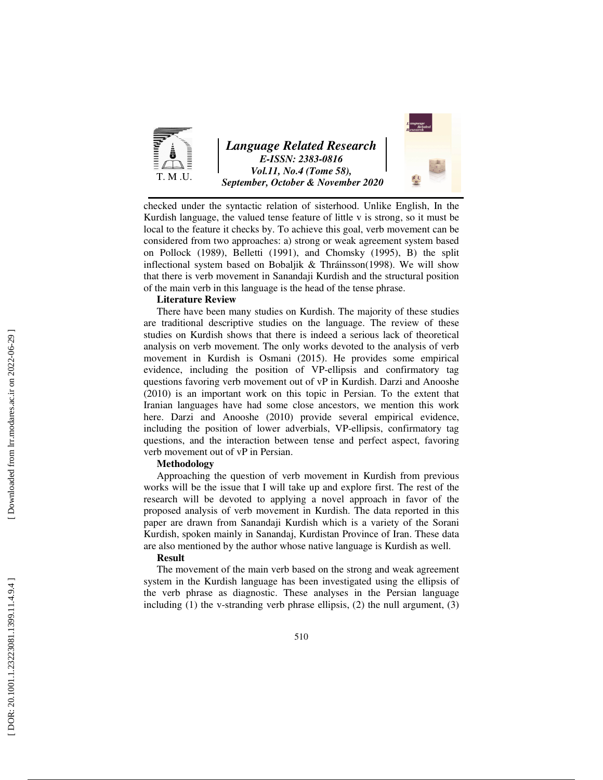

checked under the syntactic relation of sisterhood. Unlike English, In the Kurdish language, the valued tense feature of little v is strong, so it must be local to the feature it checks by. To achieve this goal, verb movement can be considered from two approaches: a) strong or weak agreement system based on Pollock (1989), Belletti (1991), and Chomsky (1995), B) the split inflectional system based on Bobaljik & Thráinsson(1998). We will show that there is verb movement in Sanandaji Kurdish and the structural position of the main verb in this language is the head of the tense phrase.

#### **Literature Review**

There have been many studies on Kurdish. The majority of these studies are traditional descriptive studies on the language. The review of these studies on Kurdish shows that there is indeed a serious lack of theoretical analysis on verb movement. The only works devoted to the analysis of verb movement in Kurdish is Osmani (2015). He provides some empirical evidence, including the position of VP-ellipsis and confirmatory tag questions favoring verb movement out of vP in Kurdish. Darzi and Anooshe (2010) is an important work on this topic in Persian. To the extent that Iranian languages have had some close ancestors, we mention this work here. Darzi and Anooshe (2010) provide several empirical evidence, including the position of lower adverbials, VP-ellipsis, confirmatory tag questions, and the interaction between tense and perfect aspect, favoring verb movement out of vP in Persian.

#### **Methodology**

Approaching the question of verb movement in Kurdish from previous works will be the issue that I will take up and explore first. The rest of the research will be devoted to applying a novel approach in favor of the proposed analysis of verb movement in Kurdish. The data reported in this paper are drawn from Sanandaji Kurdish which is a variety of the Sorani Kurdish, spoken mainly in Sanandaj, Kurdistan Province of Iran. These data are also mentioned by the author whose native language is Kurdish as well.

#### **Result**

The movement of the main verb based on the strong and weak agreement system in the Kurdish language has been investigated using the ellipsis of the verb phrase as diagnostic. These analyses in the Persian language including (1) the v-stranding verb phrase ellipsis, (2) the null argument, (3)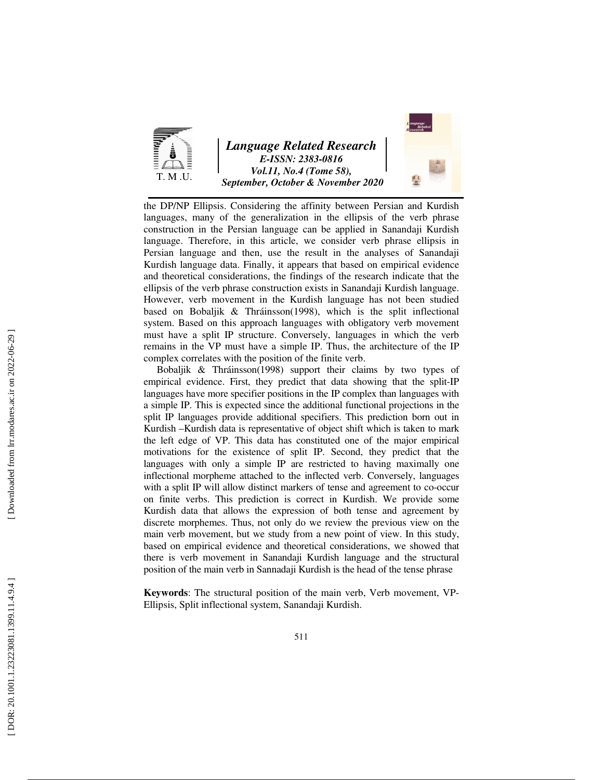

# *Language Related Research E-ISSN: 2383-0816 Vol.11, No.4 (Tome 58), September, October & November 2020*



the DP/NP Ellipsis. Considering the affinity between Persian and Kurdish languages, many of the generalization in the ellipsis of the verb phrase construction in the Persian language can be applied in Sanandaji Kurdish language. Therefore, in this article, we consider verb phrase ellipsis in Persian language and then, use the result in the analyses of Sanandaji Kurdish language data. Finally, it appears that based on empirical evidence and theoretical considerations, the findings of the research indicate that the ellipsis of the verb phrase construction exists in Sanandaji Kurdish language. However, verb movement in the Kurdish language has not been studied based on Bobaljik & Thráinsson(1998), which is the split inflectional system. Based on this approach languages with obligatory verb movement must have a split IP structure. Conversely, languages in which the verb remains in the VP must have a simple IP. Thus, the architecture of the IP complex correlates with the position of the finite verb.

Bobaljik & Thráinsson(1998) support their claims by two types of empirical evidence. First, they predict that data showing that the split-IP languages have more specifier positions in the IP complex than languages with a simple IP. This is expected since the additional functional projections in the split IP languages provide additional specifiers. This prediction born out in Kurdish –Kurdish data is representative of object shift which is taken to mark the left edge of VP. This data has constituted one of the major empirical motivations for the existence of split IP. Second, they predict that the languages with only a simple IP are restricted to having maximally one inflectional morpheme attached to the inflected verb. Conversely, languages with a split IP will allow distinct markers of tense and agreement to co-occur on finite verbs. This prediction is correct in Kurdish. We provide some Kurdish data that allows the expression of both tense and agreement by discrete morphemes. Thus, not only do we review the previous view on the main verb movement, but we study from a new point of view. In this study, based on empirical evidence and theoretical considerations, we showed that there is verb movement in Sanandaji Kurdish language and the structural position of the main verb in Sannadaji Kurdish is the head of the tense phrase

**Keywords**: The structural position of the main verb, Verb movement, VP-Ellipsis, Split inflectional system, Sanandaji Kurdish.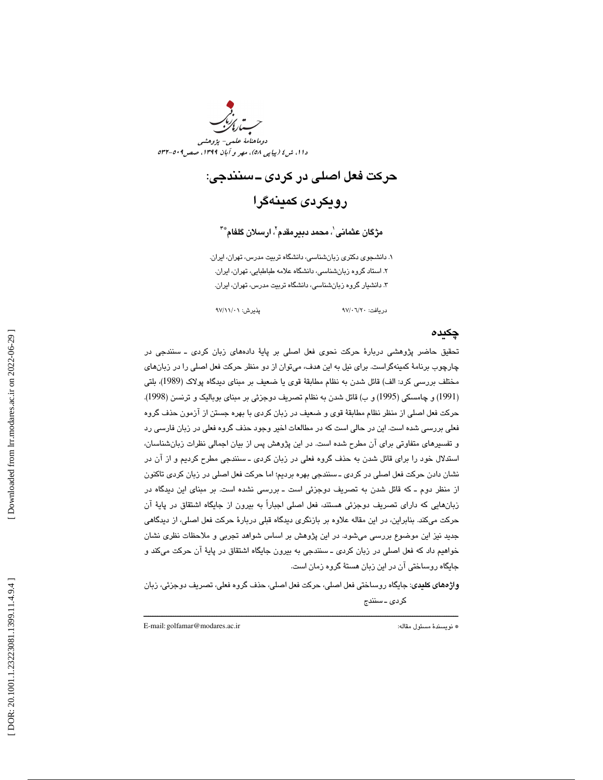

# حركت فعل اصلي در كردي ـ سنندجي: رويكردي كمينهگرا

مژگان عثمانی ٰ، محمد د**بی**رمقدم ٰ، ارسلان گلفام ٌ ّ ّ

. دانشجوي دكتري زبانشناسي، دانشگاه تربيت مدرس، تهران، ايران. 1 . استاد گروه زبانشناسي، دانشگاه علامه طباطبايي، تهران، ايران. 2 ۳. دانشیار گروه زبانشناسی، دانشگاه تربیت مدرس، تهران، ایران.

دريافت: 20/ 06/ 97 پذيرش: 01/ 11/ 97

### چكيده

تحقيق حاضر پژوهشي دربارة حركت نحوي فعل اصلي بر پاية دادههاي زبان كردي ـ سنندجي در چارچوب برنامة كمينهگراست. براي نيل به اين هدف، ميتوان از دو منظر حركت فعل اصلي را در زبانهاي مختلف بررسي كرد: الف) قائل شدن به نظام مطابقة قوي يا ضعيف بر مبناي ديدگاه پولاك (1989)، بلتي 1991) و چامسكي (1995) و ب) قائل شدن به نظام تصريف دوجزئي بر مبناي بوباليك و ترنسن (1998). ) حركت فعل اصلي از منظر نظام مطابقة قوي و ضعيف در زبان كردي با بهره جستن از آزمون حذف گروه فعلي بررسي شده است. اين در حالي است كه در مطالعات اخير وجود حذف گروه فعلي در زبان فارسي رد و تفسيرهاي متفاوتي براي آن مطرح شده است. در اين پژوهش پس از بيان اجمالي نظرات زبانشناسان، استدلال خود را براي قائل شدن به حذف گروه فعلي در زبان كردي ـ سنندجي مطرح كرديم و از آن در نشان دادن حركت فعل اصلي در كردي ـ سنندجي بهره برديم؛ اما حركت فعل اصلي در زبان كردي تاكنون از منظر دوم ـ كه قائل شدن به تصريف دوجزئي است ـ بررسي نشده است. بر مبناي اين ديدگاه در زبانهايي كه داراي تصريف دوجزئي هستند، فعل اصلي اجباراً به بيرون از جايگاه اشتقاق در پاية آن حركت ميكند. بنابراين، در اين مقاله علاوه بر بازنگري ديدگاه قبلي دربارة حركت فعل اصلي، از ديدگاهي جديد نيز اين موضوع بررسي ميشود. در اين پژوهش بر اساس شواهد تجربي و ملاحظات نظري نشان خواهيم داد كه فعل اصلي در زبان كردي ـ سنندجي به بيرون جايگاه اشتقاق در پاية آن حركت ميكند و جايگاه روساختي آن در اين زبان هستة گروه زمان است.

واژههاي كليدي: جايگاه روساختي فعل اصلي، حركت فعل اصلي، حذف گروه فعلي، تصريف دوجزئي، زبان كردي ـ سنندج

ــــــــــــــــــــــــــــــــــــــــــــــــــــــــــــــــــــــــــــــــــــــــــــــــــــــــــــــــــــــــــــــــــــــــــ

E-mail: golfamar@modares.ac.ir :مقاله مسئول نويسندة\*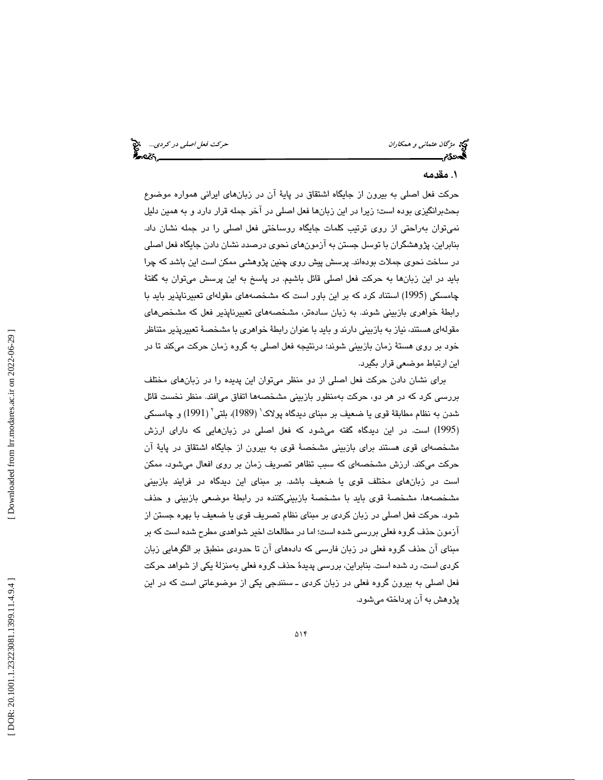می مژگان *عثمانی و همكاران* حركت فعل *اصلی در كردی...*.. می<mark>خ</mark><br>**مجهددی حركت فعل است حركت فعل است حركت فعل اصلی در كردي.... میخواهد است حركت فعل اصلي در كردي.... میخواهد** 

## . مقدمه 1

حركت فعل اصلي به بيرون از جايگاه اشتقاق در پاية آن در زبانهاي ايراني همواره موضوع بحثبرانگيزي بوده است؛ زيرا در اين زبانها فعل اصلي در آخر جمله قرار دارد و به همين دليل نميتوان بهراحتي از روي ترتيب كلمات جايگاه روساختي فعل اصلي را در جمله نشان داد. بنابراين، پژوهشگران با توسل جستن به آزمونهاي نحوي درصدد نشان دادن جايگاه فعل اصلي در ساخت نحوي جملات بودهاند. پرسش پيش روي چنين پژوهشي ممكن است اين باشد كه چرا بايد در اين زبانها به حركت فعل اصلي قائل باشيم. در پاسخ به اين پرسش ميتوان به گفتة چامسكي (1995) استناد كرد كه بر اين باور است كه مشخصههاي مقولهاي تعبيرناپذير بايد با رابطة خواهري بازبيني شوند. به زبان سادهتر، مشخصههاي تعبيرناپذير فعل كه مشخصهاي مقولهاي هستند، نياز به بازبيني دارند و بايد با عنوان رابطة خواهري با مشخصة تعبيرپذير متناظر خود بر روي هستة زمان بازبيني شوند؛ درنتيجه فعل اصلي به گروه زمان حركت ميكند تا در اين ارتباط موضعي قرار بگيرد.

براي نشان دادن حركت فعل اصلي از دو منظر ميتوان اين پديده را در زبانهاي مختلف بررسي كرد كه در هر دو، حركت بهمنظور بازبيني مشخصهها اتفاق ميافتد. منظر نخست قائل شدن به نظام مطابقة قوي يا ضعيف بر مبناي ديدگاه پولاك 1 ( 1989)، بلتي 2 ( 1991) و چامسكي 1995) است. در اين ديدگاه گفته ميشود كه فعل اصلي در زبانهايي كه داراي ارزش ) مشخصهاي قوي هستند براي بازبيني مشخصة قوي به بيرون از جايگاه اشتقاق در پاية آن حركت ميكند. ارزش مشخصهاي كه سبب تظاهر تصريف زمان بر روي افعال ميشود، ممكن است در زبانهاي مختلف قوي يا ضعيف باشد. بر مبناي اين ديدگاه در فرايند بازبيني مشخصهها، مشخصة قوي بايد با مشخصة بازبينيكننده در رابطة موضعي بازبيني و حذف شود. حركت فعل اصلي در زبان كردي بر مبناي نظام تصريف قوي يا ضعيف با بهره جستن از آزمون حذف گروه فعلي بررسي شده است؛ اما در مطالعات اخير شواهدي مطرح شده است كه بر مبناي آن حذف گروه فعلي در زبان فارسي كه دادههاي آن تا حدودي منطبق بر الگوهايي زبان كردي است، رد شده است. بنابراين، بررسي پديدة حذف گروه فعلي بهمنزلة يكي از شواهد حركت فعل اصلي به بيرون گروه فعلي در زبان كردي ـ سنندجي يكي از موضوعاتي است كه در اين پژوهش به آن پرداخته ميشود.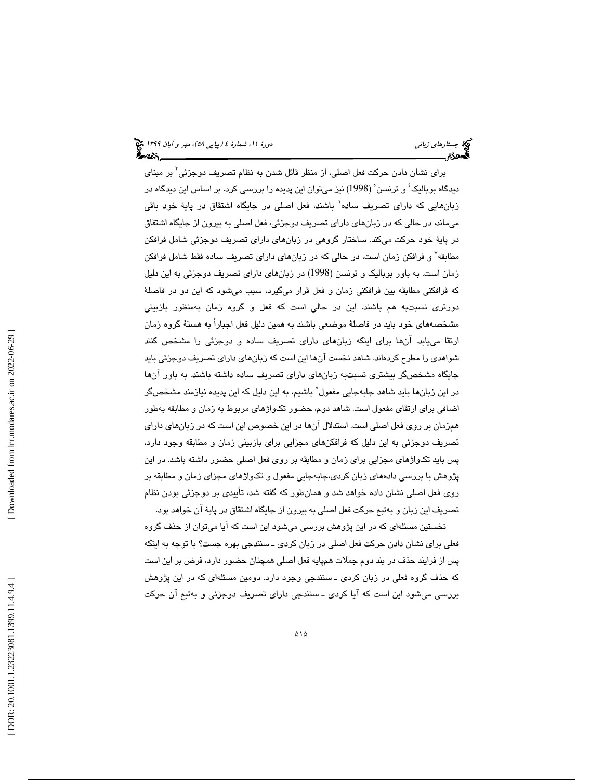برای نشان دادن حرکت فعل اصلی، از منظر قائل شدن به نظام تصریف دوجزئی <sup>۳</sup> بر مبنای دیدگاه بوبالیک ٔ و ترنسن ْ (1998) نیز میتوان این پدیده را بررسی کرد. بر اساس این دیدگاه در زبانهایی که دارای تصریف ساده<sup>٦</sup> باشند، فعل اصلی در جایگاه اشتقاق در پایهٔ خود باقی ميماند، در حالي كه در زبانهاي داراي تصريف دوجزئي، فعل اصلي به بيرون از جايگاه اشتقاق در پاية خود حركت ميكند. ساختار گروهي در زبانهاي داراي تصريف دوجزئي شامل فرافكن مطابقه<sup>۷</sup> و فرافكن زمان است، در حالي كه در زبانهاي داراي تصريف ساده فقط شامل فرافكن زمان است. به باور بوباليك و ترنسن (1998) در زبانهاي داراي تصريف دوجزئي به اين دليل كه فرافكني مطابقه بين فرافكني زمان و فعل قرار ميگيرد، سبب ميشود كه اين دو در فاصلة دورتري نسبتبه هم باشند. اين در حالي است كه فعل و گروه زمان بهمنظور بازبيني مشخصههاي خود بايد در فاصلة موضعي باشند به همين دليل فعل اجباراً به هستة گروه زمان ارتقا مييابد. آنها براي اينكه زبانهاي داراي تصريف ساده و دوجزئي را مشخص كنند شواهدي را مطرح كردهاند. شاهد نخست آنها اين است كه زبانهاي داراي تصريف دوجزئي بايد جايگاه مشخصگر بيشتري نسبتبه زبانهاي داراي تصريف ساده داشته باشند. به باور آنها در اين زبانها بايد شاهد جابهجايي مفعول^ باشيم، به اين دليل كه اين پديده نيازمند مشخصگر اضافي براي ارتقاي مفعول است. شاهد دوم، حضور تكواژهاي مربوط به زمان و مطابقه بهطور همزمان بر روي فعل اصلي است. استدلال آنها در اين خصوص اين است كه در زبانهاي داراي تصريف دوجزئي به اين دليل كه فرافكنهاي مجزايي براي بازبيني زمان و مطابقه وجود دارد، پس بايد تكواژهاي مجزايي براي زمان و مطابقه بر روي فعل اصلي حضور داشته باشد. در اين پژوهش با بررسي دادههاي زبان كردي،جابهجايي مفعول و تكواژهاي مجزاي زمان و مطابقه بر روي فعل اصلي نشان داده خواهد شد و همانطور كه گفته شد، تأييدي بر دوجزئي بودن نظام تصريف اين زبان و بهتبع حركت فعل اصلي به بيرون از جايگاه اشتقاق در پاية آن خواهد بود.

نخستين مسئلهاي كه در اين پژوهش بررسي ميشود اين است كه آيا ميتوان از حذف گروه فعلي براي نشان دادن حركت فعل اصلي در زبان كردي ـ سنندجي بهره جست؟ با توجه به اينكه پس از فرايند حذف در بند دوم جملات همپايه فعل اصلي همچنان حضور دارد، فرض بر اين است كه حذف گروه فعلي در زبان كردي ـ سنندجي وجود دارد. دومين مسئلهاي كه در اين پژوهش بررسي ميشود اين است كه آيا كردي ـ سنندجي داراي تصريف دوجزئي و بهتبع آن حركت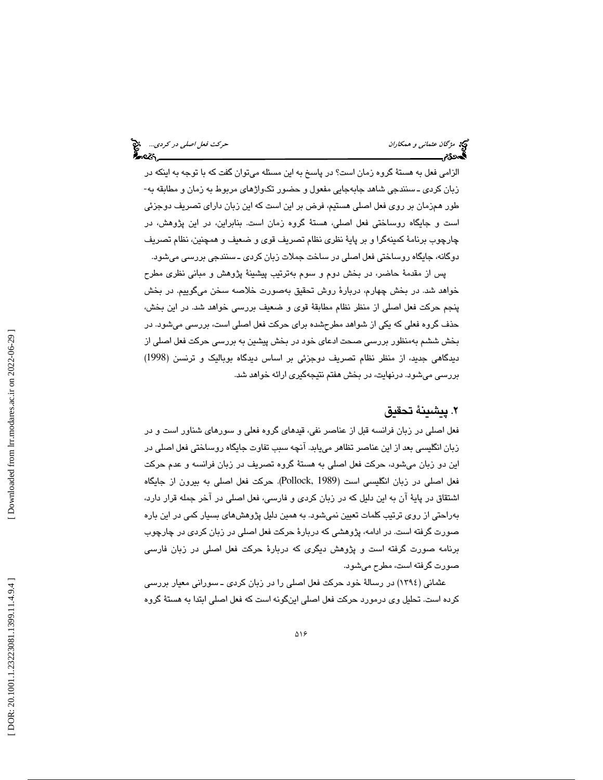الزامي فعل به هستة گروه زمان است؟ در پاسخ به اين مسئله ميتوان گفت كه با توجه به اينكه در زبان كردي ـ سنندجي شاهد جابهجايي مفعول و حضور تكواژهاي مربوط به زمان و مطابقه به- طور همزمان بر روي فعل اصلي هستيم، فرض بر اين است كه اين زبان داراي تصريف دوجزئي است و جايگاه روساختي فعل اصلي، هستة گروه زمان است. بنابراين، در اين پژوهش، در چارچوب برنامة كمينهگرا و بر پاية نظري نظام تصريف قوي و ضعيف و همچنين، نظام تصريف دوگانه، جايگاه روساختي فعل اصلي در ساخت جملات زبان كردي ـ سنندجي بررسي ميشود.

پس از مقدمة حاضر، در بخش دوم و سوم بهترتيب پيشينة پژوهش و مباني نظري مطرح خواهد شد. در بخش چهارم، دربارة روش تحقيق بهصورت خلاصه سخن ميگوييم. در بخش پنجم حركت فعل اصلي از منظر نظام مطابقة قوي و ضعيف بررسي خواهد شد. در اين بخش، حذف گروه فعلي كه يكي از شواهد مطرحشده براي حركت فعل اصلي است، بررسي ميشود. در بخش ششم بهمنظور بررسي صحت ادعاي خود در بخش پيشين به بررسي حركت فعل اصلي از ديدگاهي جديد، از منظر نظام تصريف دوجزئي بر اساس ديدگاه بوباليك و ترنسن (1998) بررسي ميشود. درنهايت، در بخش هفتم نتيجهگيري ارائه خواهد شد.

# . پيشينة تحقيق 2

فعل اصلي در زبان فرانسه قبل از عناصر نفي، قيدهاي گروه فعلي و سورهاي شناور است و در زبان انگليسي بعد از اين عناصر تظاهر مييابد. آنچه سبب تفاوت جايگاه روساختي فعل اصلي در اين دو زبان ميشود، حركت فعل اصلي به هستة گروه تصريف در زبان فرانسه و عدم حركت فعل اصلي در زبان انگليسي است (1989 ,Pollock(. حركت فعل اصلي به بيرون از جايگاه اشتقاق در پاية آن به اين دليل كه در زبان كردي و فارسي، فعل اصلي در آخر جمله قرار دارد، بهراحتي از روي ترتيب كلمات تعيين نميشود. به همين دليل پژوهشهاي بسيار كمي در اين باره صورت گرفته است. در ادامه، پژوهشي كه دربارة حركت فعل اصلي در زبان كردي در چارچوب برنامه صورت گرفته است و پژوهش ديگري كه دربارة حركت فعل اصلي در زبان فارسي صورت گرفته است، مطرح ميشود.

عثماني (1394) در رسالة خود حركت فعل اصلي را در زبان كردي ـ سوراني معيار بررسي كرده است. تحليل وي درمورد حركت فعل اصلي اينگونه است كه فعل اصلي ابتدا به هستة گروه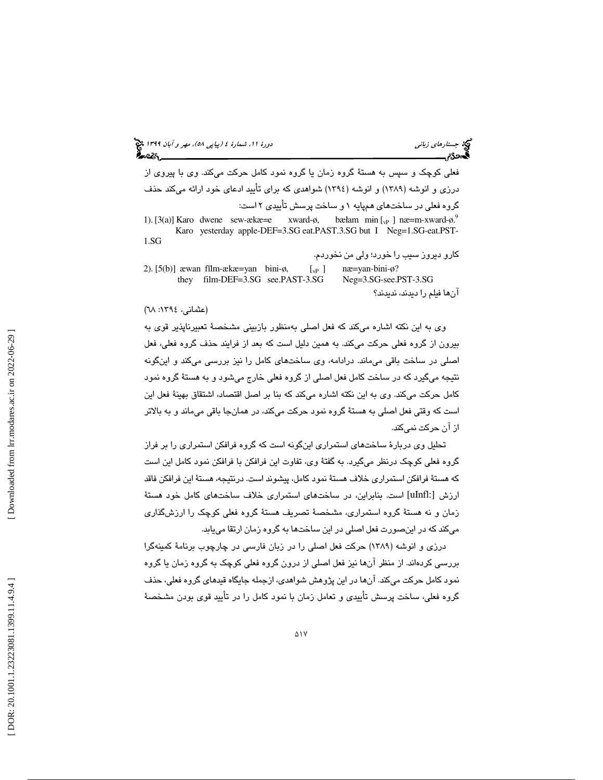# (پياپي 58)، مهر و آبان 1399 جستارهاي زباني دورة ،11 شمارة 4

فعلي كوچك و سپس به هستة گروه زمان يا گروه نمود كامل حركت ميكند. وي با پيروي از درزي و انوشه (1389) و انوشه (1394) شواهدي كه براي تأييد ادعاي خود ارائه ميكند حذف گروه فعلي در ساختهاي همپايه 1 و ساخت پرسش تأييدي 2 است:

1). [3(a)] Karo dwene sew-ækæ=e xward-ø, min  $\left[ \begin{smallmatrix} 1 \\ v \end{smallmatrix} \right]$  næ=m-xward-ø.<sup>9</sup> Karo yesterday apple-DEF=3.SG eat.PAST.3.SG but I Neg=1.SG-eat.PST-1.SG

كارو ديروز سيب را خورد؛ ولي من نخوردم. 2). [5(b)] awan film-acka=yan bini-ø,  $[\text{v}_P]$  nae=yan-bini-ø?<br>they film-DEF=3.SG see.PAST-3.SG Neg=3.SG-see.PST-3.SG they film-DEF=3.SG see.PAST-3.SG آنها فيلم را ديدند، نديدند؟

#### (عثماني، ١٣٩٤: ٦٨)

وی به اين نكته اشاره ميكند كه فعل اصلي بهمنظور بازبيني مشخصهٔ تعبيرناپذير قوی به بيرون از گروه فعلي حركت ميكند. به همين دليل است كه بعد از فرايند حذف گروه فعلي، فعل اصلي در ساخت باقي ميماند. درادامه، وي ساختهاي كامل را نيز بررسي ميكند و اينگونه نتيجه ميگيرد كه در ساخت كامل فعل اصلي از گروه فعلي خارج ميشود و به هستة گروه نمود كامل حركت ميكند. وي به اين نكته اشاره ميكند كه بنا بر اصل اقتصاد، اشتقاق بهينة فعل اين است كه وقتي فعل اصلي به هستة گروه نمود حركت ميكند، در همانجا باقي ميماند و به بالاتر از آن حركت نميكند.

تحليل وي دربارة ساختهاي استمراري اينگونه است كه گروه فرافكن استمراري را بر فراز گروه فعلي كوچك درنظر ميگيرد. به گفتة وي، تفاوت اين فرافكن با فرافكن نمود كامل اين است كه هستة فرافكن استمراري خلاف هستة نمود كامل، پيشوند است. درنتيجه، هستة اين فرافكن فاقد ارزش [:uInfl [است. بنابراين، در ساختهاي استمراري خلاف ساختهاي كامل خود هستة زمان و نه هستة گروه استمراري، مشخصة تصريف هستة گروه فعلي كوچك را ارزشگذاري ميكند كه در اينصورت فعل اصلي در اين ساختها به گروه زمان ارتقا مييابد.

درزي و انوشه (1389) حركت فعل اصلي را در زبان فارسي در چارچوب برنامة كمينهگرا بررسي كردهاند. از منظر آنها نيز فعل اصلي از درون گروه فعلي كوچك به گروه زمان يا گروه نمود كامل حركت ميكند. آنها در اين پژوهش شواهدي، ازجمله جايگاه قيدهاي گروه فعلي، حذف گروه فعلي، ساخت پرسش تأييدي و تعامل زمان با نمود كامل را در تأييد قوي بودن مشخصة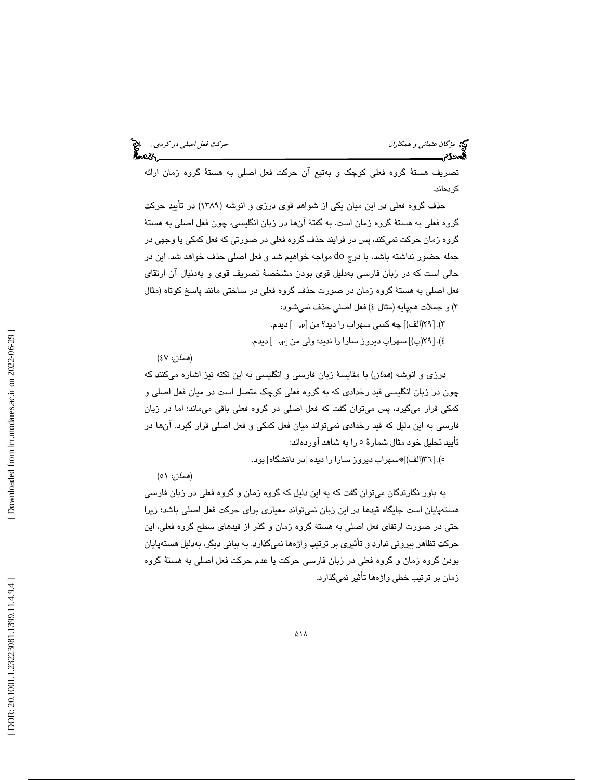مي مؤگان *عثماني و همكاران* حركت فعل *اصلي در كردي...*. م<sup>وج</sup><br>محمد العالمي بين العالمي العالمي العالمي العالمي العالمي العالمي العالمي العالمي العالمي العالمي العالمي العالم<br>**العالمي العالمي العالمي العالمي العالمي العالم** 

تصريف هستة گروه فعلي كوچك و بهتبع آن حركت فعل اصلي به هستة گروه زمان ارائه كردهاند.

حذف گروه فعلي در اين ميان يكي از شواهد قوي درزي و انوشه (1389) در تأييد حركت گروه فعلي به هستة گروه زمان است. به گفتة آنها در زبان انگليسي، چون فعل اصلي به هستة گروه زمان حركت نميكند، پس در فرايند حذف گروه فعلي در صورتي كه فعل كمكي يا وجهي در جمله حضور نداشته باشد، با درج do مواجه خواهيم شد و فعل اصلي حذف خواهد شد. اين در حالي است كه در زبان فارسي بهدليل قوي بودن مشخصة تصريف قوي و بهدنبال آن ارتقاي فعل اصلي به هستة گروه زمان در صورت حذف گروه فعلي در ساختي مانند پاسخ كوتاه (مثال ٣) و جملات همپايه (مثال ٤) فعل اصلي حذف نميشود:

)3 . [29(الف)] چه كسي سهراب را ديد؟ من [vP [ ديدم.

٤). [٢٩(ب)] سهراب ديروز سارا را نديد؛ ولي من [<sub>٧</sub>٥ ] ديدم.

(هم*ان*: ٤٧ $)$ 

درزي و انوشه (همان) با مقايسة زبان فارسي و انگليسي به اين نكته نيز اشاره ميكنند كه چون در زبان انگليسي قيد رخدادي كه به گروه فعلي كوچك متصل است در ميان فعل اصلي و كمكي قرار ميگيرد، پس ميتوان گفت كه فعل اصلي در گروه فعلي باقي ميماند؛ اما در زبان فارسي به اين دليل كه قيد رخدادي نميتواند ميان فعل كمكي و فعل اصلي قرار گيرد. آنها در تأييد تحليل خود مثال شمارة 5 را به شاهد آوردهاند:

)5 . [36(الف)]\*سهراب ديروز سارا را ديده [در دانشگاه] بود.

(*همان*: ٥١)

به باور نگارندگان ميتوان گفت كه به اين دليل كه گروه زمان و گروه فعلي در زبان فارسي هستهپايان است جايگاه قيدها در اين زبان نميتواند معياري براي حركت فعل اصلي باشد؛ زيرا حتي در صورت ارتقاي فعل اصلي به هستة گروه زمان و گذر از قيدهاي سطح گروه فعلي، اين حركت تظاهر بيروني ندارد و تأثيري بر ترتيب واژهها نميگذارد. به بياني ديگر، بهدليل هستهپايان بودن گروه زمان و گروه فعلي در زبان فارسي حركت يا عدم حركت فعل اصلي به هستة گروه زمان بر ترتيب خطي واژهها تأثير نميگذارد.

 [\[ DOR: 20.1001.1.23223081.1399.11.4.9.4](https://dorl.net/dor/20.1001.1.23223081.1399.11.4.9.4) ] [\[ Downloaded from lrr.modares.ac.ir on 20](https://lrr.modares.ac.ir/article-14-25046-fa.html)22-06-29 ] Downloaded from lrr.modares.ac.ir on 2022-06-29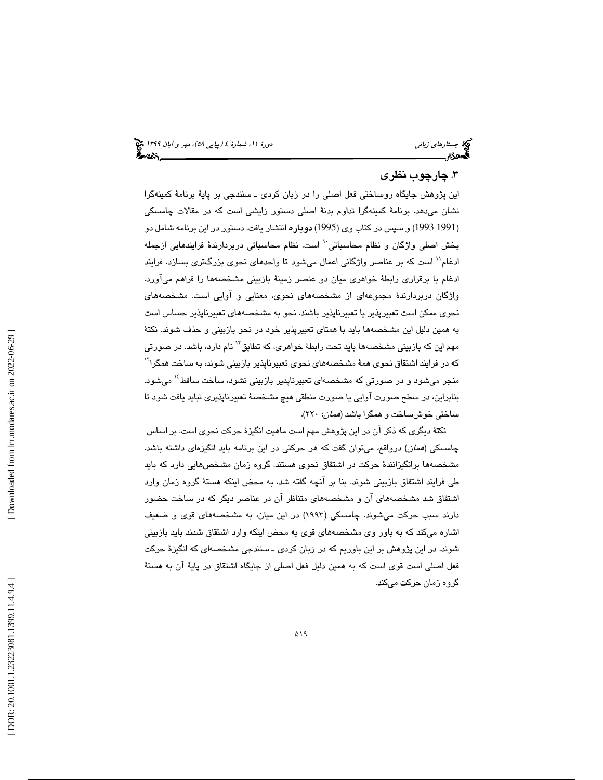## .3 چارچوب نظري

اين پژوهش جايگاه روساختي فعل اصلي را در زبان كردي ـ سنندجي بر پاية برنامة كمينهگرا نشان ميدهد. برنامة كمينهگرا تداوم بدنة اصلي دستور زايشي است كه در مقالات چامسكي 1991 1993) و سپس در كتاب وي (1995) دوباره انتشار يافت. دستور در اين برنامه شامل دو ) بخش اصلی واژگان و نظام محاسباتی `` است. نظام محاسباتی دربردارندهٔ فرایندهایی ازجمله ادغام`` است كه بر عناصر واژگاني اعمال ميشود تا واحدهاي نحوي بزرگتري بسازد. فرايند ادغام با برقراري رابطة خواهري ميان دو عنصر زمينة بازبيني مشخصهها را فراهم ميآورد. واژگان دربردارندة مجموعهاي از مشخصههاي نحوي، معنايي و آوايي است. مشخصههاي نحوي ممكن است تعبيرپذير يا تعبيرناپذير باشند. نحو به مشخصههاي تعبيرناپذير حساس است به همين دليل اين مشخصهها بايد با همتاي تعبيرپذير خود در نحو بازبيني و حذف شوند. نكتة مهم اين كه بازبيني مشخصهها بايد تحت رابطهٔ خوا*هري،* كه تطابق<sup>۱۲</sup> نام دارد، باشد. در صورتی كه در فرايند اشتقاق نحوي همهٔ مشخصههاي نحوي تعبيرناپذير بازبيني شوند، به ساخت همگرا<sup>۱۲</sup> منجر مي شود و در صورتي كه مشخصهاي تعبيرناپدير بازبيني نشود، ساخت ساقط<sup>، (</sup> مي شود. بنابراين، در سطح صورت آوايي يا صورت منطقي هيچ مشخصة تعبيرناپذيري نبايد يافت شود تا ساختي خوشساخت و همگرا باشد (*همان*: ۲۲۰).

نكتة ديگري كه ذكر آن در اين پژوهش مهم است ماهيت انگيزة حركت نحوي است. بر اساس چامسكي (همان) درواقع، ميتوان گفت كه هر حركتي در اين برنامه بايد انگيزهاي داشته باشد. مشخصهها برانگيزانندة حركت در اشتقاق نحوي هستند. گروه زمان مشخصهايي دارد كه بايد طي فرايند اشتقاق بازبيني شوند. بنا بر آنچه گفته شد، به محض اينكه هستة گروه زمان وارد اشتقاق شد مشخصههاي آن و مشخصههاي متناظر آن در عناصر ديگر كه در ساخت حضور دارند سبب حركت ميشوند. چامسكي (1993) در اين ميان، به مشخصههاي قوي و ضعيف اشاره ميكند كه به باور وي مشخصههاي قوي به محض اينكه وارد اشتقاق شدند بايد بازبيني شوند. در اين پژوهش بر اين باوريم كه در زبان كردي ـ سنندجي مشخصهاي كه انگيزة حركت فعل اصلي است قوي است كه به همين دليل فعل اصلي از جايگاه اشتقاق در پاية آن به هستة گروه زمان حركت ميكند.

 [\[ DOR: 20.1001.1.23223081.1399.11.4.9.4](https://dorl.net/dor/20.1001.1.23223081.1399.11.4.9.4) ] [\[ Downloaded from lrr.modares.ac.ir on 20](https://lrr.modares.ac.ir/article-14-25046-fa.html)22-06-29 ] Downloaded from lrr.modares.ac.ir on 2022-06-29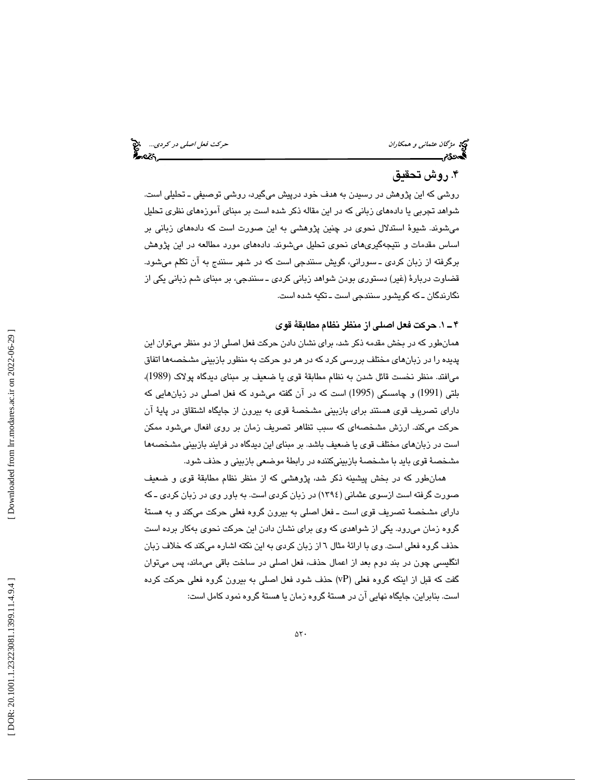مژگان عثماني و همكاران حركت فعل اصلي در كردي...

## . روش تحقيق 4

روشي كه اين پژوهش در رسيدن به هدف خود درپيش ميگيرد، روشي توصيفي ـ تحليلي است. شواهد تجربي يا دادههاي زباني كه در اين مقاله ذكر شده است بر مبناي آموزههاي نظري تحليل ميشوند. شيوة استدلال نحوي در چنين پژوهشي به اين صورت است كه دادههاي زباني بر اساس مقدمات و نتيجهگيريهاي نحوي تحليل ميشوند. دادههاي مورد مطالعه در اين پژوهش برگرفته از زبان كردي ـ سوراني، گويش سنندجي است كه در شهر سنندج به آن تكلم ميشود. قضاوت دربارة (غير) دستوري بودن شواهد زباني كردي ـ سنندجي، بر مبناي شم زباني يكي از نگارندگان ـ كه گويشور سنندجي است ـ تكيه شده است.

### 1ـ 4 . حركت فعل اصلي از منظر نظام مطابقة قوي

همانطور كه در بخش مقدمه ذكر شد، براي نشان دادن حركت فعل اصلي از دو منظر ميتوان اين پديده را در زبانهاي مختلف بررسي كرد كه در هر دو حركت به منظور بازبيني مشخصهها اتفاق ا ميفتد. منظر نخست قائل شدن به نظام مطابقة قوي يا ضعيف بر مبناي ديدگاه پولاك (1989)، بلتي (1991) و چامسكي (1995) است كه در آن گفته ميشود كه فعل اصلي در زبانهايي كه داراي تصريف قوي هستند براي بازبيني مشخصة قوي به بيرون از جايگاه اشتقاق در پاية آن حركت ميكند. ارزش مشخصهاي كه سبب تظاهر تصريف زمان بر روي افعال ميشود ممكن است در زبانهاي مختلف قوي يا ضعيف باشد. بر مبناي اين ديدگاه در فرايند بازبيني مشخصهها مشخصة قوي بايد با مشخصة بازبينيكننده در رابطة موضعي بازبيني و حذف شود.

همانطور كه در بخش پيشينه ذكر شد، پژوهشي كه از منظر نظام مطابقة قوي و ضعيف صورت گرفته است ازسوي عثماني (1394) در زبان كردي است. به باور وي در زبان كردي ـ كه داراي مشخصة تصريف قوي است ـ فعل اصلي به بيرون گروه فعلي حركت ميكند و به هستة گروه زمان ميرود. يكي از شواهدي كه وي براي نشان دادن اين حركت نحوي بهكار برده است حذف گروه فعلي است. وي با ارائة مثال 6 از زبان كردي به اين نكته اشاره ميكند كه خلاف زبان انگليسي چون در بند دوم بعد از اعمال حذف، فعل اصلي در ساخت باقي ميماند، پس ميتوان گفت كه قبل از اينكه گروه فعلي (vP (حذف شود فعل اصلي به بيرون گروه فعلي حركت كرده است. بنابراين، جايگاه نهايي آن در هستة گروه زمان يا هستة گروه نمود كامل است: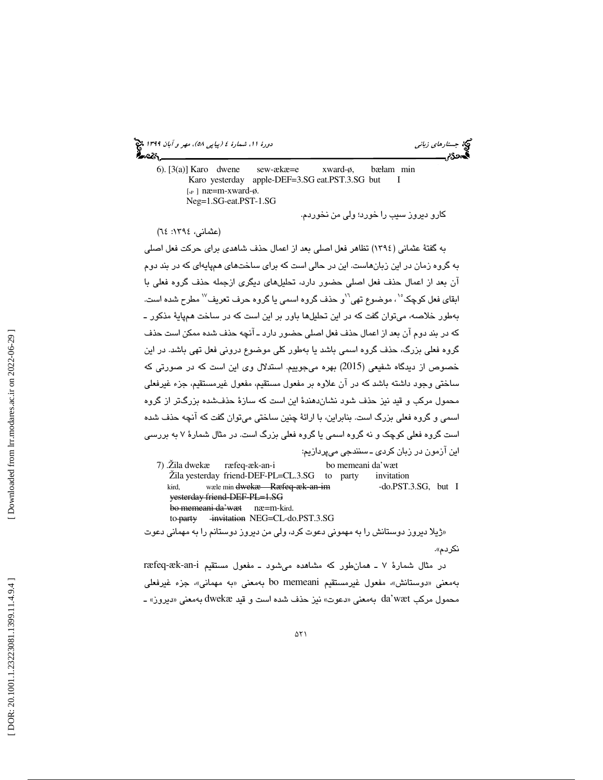6).  $[3(a)]$  Karo dwene sew-ækæ=e xward-ø, m ɨn Karo yesterday apple-DEF=3.SG eat.PST.3.SG but I [ $v$ P] næ=m-xward-ø. Neg=1.SG-eat.PST-1.SG

كارو ديروز سيب را خورد؛ ولي من نخوردم.

(عثماني، ١٣٩٤: ٦٤)

به گفتة عثماني (1394) تظاهر فعل اصلي بعد از اعمال حذف شاهدي براي حركت فعل اصلي به گروه زمان در اين زبانهاست. اين در حالي است كه براي ساختهاي هم پايهاي كه در بند دوم آن بعد از اعمال حذف فعل اصلي حضور دارد، تحليلهاي ديگري ازجمله حذف گروه فعلي با ابقای فعل کوچک ْ``، موضوع تهی``و حذف گروه اسمی یا گروه حرف تعریف ``` مطرح شده است. بهطور خلاصه، مي ها توان گفت كه در اين تحليل باور بر اين است كه در ساخت هم پاية مذكور ـ كه در بند دوم آن بعد از اعمال حذف فعل اصلي حضور دارد ـ آنچه حذف شده ممكن است حذف گروه فعلي بزرگ، حذف گروه اسمي باشد يا بهطور كلي موضوع دروني فعل تهي باشد. در اين خصوص از ديدگاه شفيعي (2015) بهره ميجوييم. استدلال وي اين است كه در صورتي كه ساختي وجود داشته باشد كه در آن علاوه بر مفعول مستقيم، مفعول غيرمستقيم، جزء غيرفعلي محمول مركب و قيد نيز حذف شود نشاندهندة اين است كه سازة حذفشده بزرگتر از گروه اسمي و گروه فعلي بزرگ است. بنابراين، با ارائة چنين ساختي ميتوان گفت كه آنچه حذف شده است گروه فعلي كوچك و نه گروه اسمي يا گروه فعلي بزرگ است. در مثال شمارة 7 به بررسي اين آزمون در زبان كردي ـ سنندجي ميپردازيم:

7) .Žila dwekæ ræfeq-æk-an-i bo memeani da'wæt Žila yesterday friend-DEF-PL=CL.3.SG to party invitation kird, wæle min dwekæ Ræfeq-æk-an-im -do.PST.3.SG, but I yesterday friend-DEF-PL=1.SG bo memeani da'wæt næ=m-kɨrd. to party invitation NEG=CL-do.PST.3.SG

ژيلا ديروز دوستانش را به مهموني دعوت كرد، ولي من ديروز دوستانم را به مهماني دعوت » نكردم ».

در مثال شمارة 7 ـ همانطور كه مشاهده ميشود ـ مفعول مستقيم i-an-æk-ræfeq بهمعني «دوستانش»، مفعول غيرمستقيم bo memeani بهمعني «به مهماني»، جزء غيرفعلي محمول مركب da'wæt بهمعنى «دعوت» نيز حذف شده است و قيد dwekæ بهمعنى «ديروز» ـ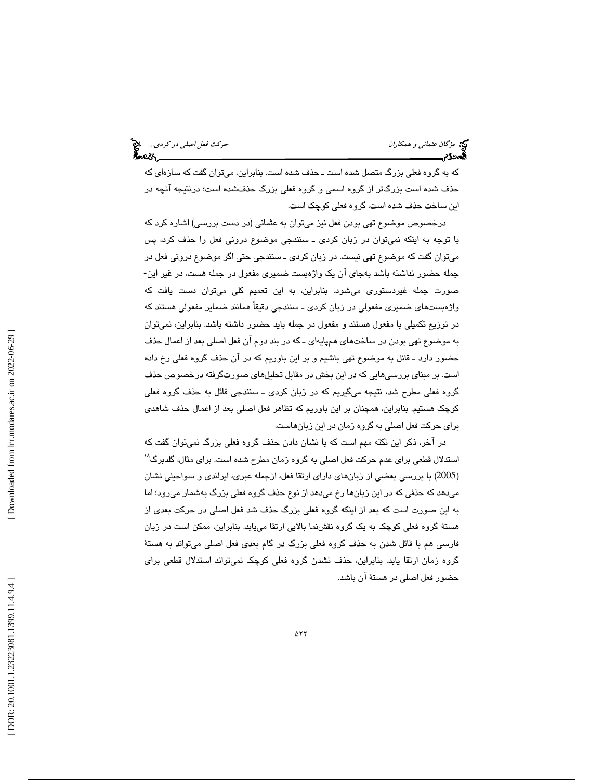كه به گروه فعلي بزرگ متصل شده است ـ حذف شده است. بنابراين، ميتوان گفت كه سازهاي كه حذف شده است بزرگتر از گروه اسمي و گروه فعلي بزرگ حذفشده است؛ درنتيجه آنچه در اين ساخت حذف شده است، گروه فعلي كوچك است.

درخصوص موضوع تهي بودن فعل نيز ميتوان به عثماني (در دست بررسي) اشاره كرد كه با توجه به اينكه نميتوان در زبان كردي ـ سنندجي موضوع دروني فعل را حذف كرد، پس ميتوان گفت كه موضوع تهي نيست. در زبان كردي ـ سنندجي حتي اگر موضوع دروني فعل در جمله حضور نداشته باشد بهجاي آن يك واژهبست ضميري مفعول در جمله هست، در غير اين- صورت جمله غيردستوري ميشود. بنابراين، به اين تعميم كلي ميتوان دست يافت كه واژهبستهاي ضميري مفعولي در زبان كردي ـ سنندجي دقيقاً همانند ضماير مفعولي هستند كه ر توزيع تكميلي با مفعول هستند و مفعول در جمله بايد حضور داشته باشد. بنابراين، نميتوان د به موضوع تهي بودن در ساختهاي هم پايهاي ـ كه در بند دوم آن فعل اصلي بعد از اعمال حذف حضور دارد ـ قائل به موضوع تهي باشيم و بر اين باوريم كه در آن حذف گروه فعلي رخ داده است. بر مبناي بررسيهايي كه در اين بخش در مقابل تحليلهاي صورتگرفته درخصوص حذف گروه فعلي مطرح شد، نتيجه ميگيريم كه در زبان كردي ـ سنندجي قائل به حذف گروه فعلي كوچك هستيم. بنابراين، همچنان بر اين باوريم كه تظاهر فعل اصلي بعد از اعمال حذف شاهدي براي حركت فعل اصلي به گروه زمان در اين زبانهاست.

در آخر، ذكر اين نكته مهم است كه با نشان دادن حذف گروه فعلي بزرگ نميتوان گفت كه استدلال قطعی برای عدم حرکت فعل اصلی به گروه زمان مطرح شده است. برای مثال، گلدبرگ<sup>۱۸</sup> 2005) با بررسي بعضي از زبانهاي داراي ارتقا فعل، ازجمله عبري، ايرلندي و سواحيلي نشان ) ميدهد كه حذفي كه در اين زبانها رخ ميدهد از نوع حذف گروه فعلي بزرگ بهشمار ميرود؛ اما به اين صورت است كه بعد از اينكه گروه فعلي بزرگ حذف شد فعل اصلي در حركت بعدي از هستة گروه فعلي كوچك به يك گروه نقشنما بالايي ارتقا مييابد. بنابراين، ممكن است در زبان فارسي هم با قائل شدن به حذف گروه فعلي بزرگ در گام بعدي فعل اصلي ميتواند به هستة گروه زمان ارتقا يابد. بنابراين، حذف نشدن گروه فعلي كوچك نميتواند استدلال قطعي براي حضور فعل اصلي در هستة آن باشد.

 [\[ DOR: 20.1001.1.23223081.1399.11.4.9.4](https://dorl.net/dor/20.1001.1.23223081.1399.11.4.9.4) ] [\[ Downloaded from lrr.modares.ac.ir on 20](https://lrr.modares.ac.ir/article-14-25046-fa.html)22-06-29 ] Downloaded from lrr.modares.ac.ir on 2022-06-29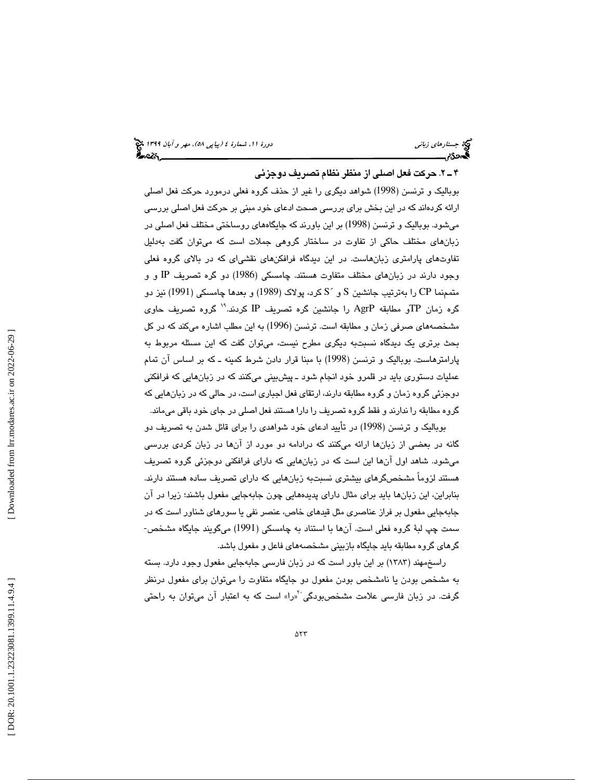### 2ـ 4 . حركت فعل اصلي از منظر نظام تصريف دوجزئي

بوباليك و ترنسن (1998) شواهد ديگري را غير از حذف گروه فعلي درمورد حركت فعل اصلي ارائه كردهاند كه در اين بخش براي بررسي صحت ادعاي خود مبني بر حركت فعل اصلي بررسي ميشود. بوباليك و ترنسن (1998) بر اين باورند كه جايگاههاي روساختي مختلف فعل اصلي در زبانهاي مختلف حاكي از تفاوت در ساختار گروهي جملات است كه ميتوان گفت بهدليل تفاوتهاي پارامتري زبانهاست. در اين ديدگاه فرافكنهاي نقشياي كه در بالاي گروه فعلي وجود دارند در زبانهاي مختلف متفاوت هستند. چامسكي (1986) دو گره تصريف IP و و متممنما CP را بهترتیب جانشین S و ´S كرد، پولاک (1989) و بعدها چامسكي (1991) نیز دو گره زمان TPو مطابقه AgrP را جانشين گره تصريف IP كردند.'' گروه تصريف حاوي مشخصههاي صرفي زمان و مطابقه است. ترنسن (1996) به اين مطلب اشاره ميكند كه در كل بحث برتري يك ديدگاه نسبتبه ديگري مطرح نيست، ميتوان گفت كه اين مسئله مربوط به پارامترهاست. بوباليك و ترنسن (1998) با مبنا قرار دادن شرط كمينه ـ كه بر اساس آن تمام عمليات دستوري بايد در قلمرو خود انجام شود ـ پيشبيني ميكنند كه در زبانهايي كه فرافكني دوجزئي گروه زمان و گروه مطابقه دارند، ارتقاي فعل اجباري است، در حالي كه در زبانهايي كه گروه مطابقه را ندارند و فقط گروه تصريف را دارا هستند فعل اصلي در جاي خود باقي ميماند.

بوباليك و ترنسن (1998) در تأييد ادعاي خود شواهدي را براي قائل شدن به تصريف دو گانه در بعضي از زبانها ارائه ميكنند كه درادامه دو مورد از آنها در زبان كردي بررسي ميشود. شاهد اول آنها اين است كه در زبانهايي كه داراي فرافكني دوجزئي گروه تصريف هستند لزوماً مشخصگرهاي بيشتري نسبتبه زبانهايي كه داراي تصريف ساده هستند دارند. بنابراين، اين زبانها بايد براي مثال داراي پديدههايي چون جابهجايي مفعول باشند؛ زيرا در آن جابهجايي مفعول بر فراز عناصري مثل قيدهاي خاص، عنصر نفي يا سورهاي شناور است كه در سمت چپ لبة گروه فعلي است. آنها با استناد به چامسكي (1991) ميگويند جايگاه مشخص- گرهاي گروه مطابقه بايد جايگاه بازبيني مشخصههاي فاعل و مفعول باشد.

راسخمهند (1383) بر اين باور است كه در زبان فارسي جابهجايي مفعول وجود دارد. بسته به مشخص بودن يا نامشخص بودن مفعول دو جايگاه متفاوت را ميتوان براي مفعول درنظر گرفت. در زبان فارسی علامت مشخصبودگی <sup>۲</sup>«را» است که به اعتبار آن میتوان به راحتی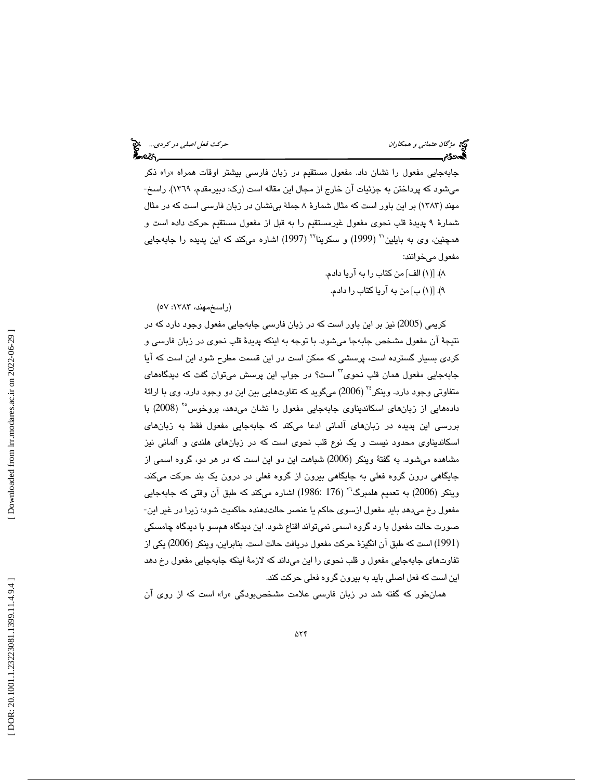جابهجايي مفعول را نشان داد. مفعول مستقيم در زبان فارسي بيشتر اوقات همراه » را« ذكر ميشود كه پرداختن به جزئيات آن خارج از مجال اين مقاله است (رك: دبيرمقدم، 1369). راسخ- مهند (1383) بر اين باور است كه مثال شمارة 8 جملة بينشان در زبان فارسي است كه در مثال شمارة 9 پديدة قلب نحوي مفعول غيرمستقيم را به قبل از مفعول مستقيم حركت داده است و همچنین، وی به بایلین`` (1999) و سکرینا`` (1997) اشاره میکند که این پدیده را جابهجایی مفعول ميخوانند:

- ۸). [(۱) الف] من كتاب را به آريا دادم.
- ۹). [(۱) ب] من به آریا کتاب را دادم.

(راسخمهند، ١٣٨٣: ٥٧)

كريمي (2005) نيز بر اين باور است كه در زبان فارسي جابهجايي مفعول وجود دارد كه در نتيجة آن مفعول مشخص جابهجا ميشود. با توجه به اينكه پديدة قلب نحوي در زبان فارسي و كردي بسيار گسترده است، پرسشي كه ممكن است در اين قسمت مطرح شود اين است كه آيا جابهجايي مفعول همان قلب نحوي<sup>؟؟</sup> است؟ در جواب اين پرسش ميتوان گفت كه ديدگاههاي متفاوتي وجود دارد. وينكر<sup>، ٢</sup> (2006) ميگويد كه تفاوتهايي بين اين دو وجود دارد. وي با ارائهٔ دادههايي از زبانهاي اسكانديناوي جابهجايي مفعول را نشان ميدهد، بروخوس ( 2008) با <sup>25</sup> بررسي اين پديده در زبانهاي آلماني ادعا ميكند كه جابهجايي مفعول فقط به زبانهاي اسكانديناوي محدود نيست و يك نوع قلب نحوي است كه در زبانهاي هلندي و آلماني نيز مشاهده ميشود. به گفتة وينكر (2006) شباهت اين دو اين است كه در هر دو، گروه اسمي از جايگاهي درون گروه فعلي به جايگاهي بيرون از گروه فعلي در درون يك بند حركت ميكند. وينكر (2006) به تعميم هلمبرگ<sup>۲۰</sup> (176 :1986) اشاره ميكند كه طبق آن وقتي كه جابهجايي مفعول رخ ميدهد بايد مفعول ازسوي حاكم يا عنصر حالتدهنده حاكميت شود؛ زيرا در غير اين- صورت حالت مفعول با رد گروه اسمي نميتواند اقناع شود. اين ديدگاه همسو با ديدگاه چامسكي 1991) است كه طبق آن انگيزة حركت مفعول دريافت حالت است. بنابراين، وينكر (2006) يكي از ) تفاوتهاي جابهجايي مفعول و قلب نحوي را اين ميداند كه لازمة اينكه جابهجايي مفعول رخ دهد ين است كه فعل اصلي بايد به بيرون گروه فعلي حركت كند. ا

همانطور كه گفته شد در زبان فارسي علامت مشخصبودگي » را« است كه از روي آن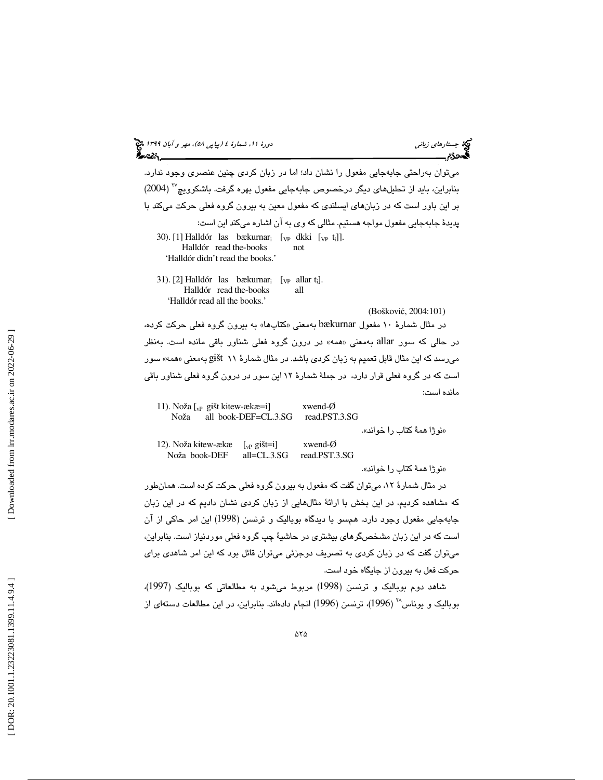# (پياپي 58)، مهر و آبان 1399 جستارهاي زباني دورة ،11 شمارة 4

 ميتوان بهراحتي جابهجايي مفعول را نشان داد؛ اما در زبان كردي چنين عنصري وجود ندارد. ( 2004) <sup>27</sup> بنابراين، بايد از تحلي لهاي ديگر درخصوص جابهجايي مفعول بهره گرفت. باشكوويچ بر اين باور است كه در زبانهاي ايسلندي كه مفعول معين به بيرون گروه فعلي حركت ميكند با پديدة جابهجايي مفعول مواجه هستيم. مثالي كه وي به آن اشاره ميكند اين است: 30). [1] Halldór las bækurnar $_i$  [<sub>VP</sub> dkki [<sub>VP</sub> t<sub>i</sub>]]. Halldór read the-books not 'Halldór didn't read the books.' 31). [2] Halldór las bækurnar $_i$  [<sub>VP</sub> allar  $t_i$ ]. Halldór read the-books all 'Halldór read all the books.'

(Boškovi ć, 2004:101)

در مثال شمارهٔ ۱۰ مفعول bækurnar بهمعنی «کتابها» به بیرون گروه فعلی حرکت کرده، در حالي كه سور allar بهمعني «همه» در درون گروه فعلي شناور باقي مانده است. بهنظر میرسد که این مثال قابل تعمیم به زبان کردی باشد. در مثال شمارهٔ ۱۱ gišt بهمعنی «همه» سور است كه در گروه فعلي قرار دارد، در جملة شمارة 12 اين سور در درون گروه فعلي شناور باقي مانده است:

| 11). Noža $\lceil v \rceil$ gišt kitew-ækæ=i]<br>Noža | all book-DEF=CL.3.SG  | xwend- $\varnothing$<br>read.PST.3.SG |                            |
|-------------------------------------------------------|-----------------------|---------------------------------------|----------------------------|
|                                                       |                       |                                       | «نوژا همهٔ کتاب را خواند». |
| 12). Noža kitew-ækæ                                   | $\lceil_{vP}$ gišt=i] | xwend- $\varnothing$                  |                            |
| Noža book-DEF                                         | $all = CL.3.SG$       | read.PST.3.SG                         |                            |

«نوژا همهٔ كتاب را خواند».

در مثال شمارة ،12 ميتوان گفت كه مفعول به بيرون گروه فعلي حركت كرده است. همانطور كه مشاهده كرديم، در اين بخش با ارائة مثالهايي از زبان كردي نشان داديم كه در اين زبان جابهجايي مفعول وجود دارد. همسو با ديدگاه بوباليك و ترنسن (1998) اين امر حاكي از آن است كه در اين زبان مشخصگرهاي بيشتري در حاشية چپ گروه فعلي موردنياز است. بنابراين، ميتوان گفت كه در زبان كردي به تصريف دوجزئي ميتوان قائل بود كه اين امر شاهدي براي حركت فعل به بيرون از جايگاه خود است.

شاهد دوم بوباليك و ترنسن (1998) مربوط ميشود به مطالعاتي كه بوباليك (1997)، بوباليک و يوناس $^{\backprime\prime}$  (1996)، ترنسن (1996) انجام دادهاند. بنابراين، در اين مطالعات دستهاي از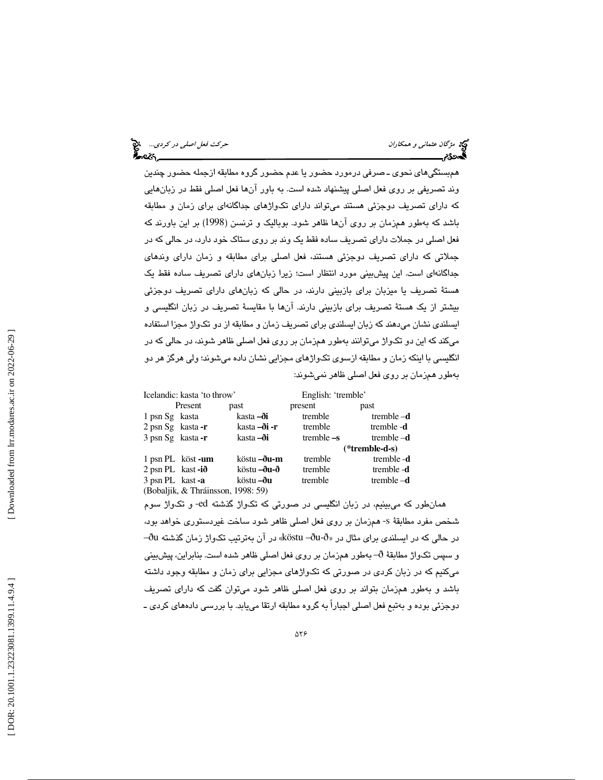همبستگيهاي نحوي ـ صرفي درمورد حضور يا عدم حضور گروه مطابقه ازجمله حضور چندين وند تصريفي بر روي فعل اصلي پيشنهاد شده است. به باور آنها فعل اصلي فقط در زبانهايي كه داراي تصريف دوجزئي هستند ميتواند داراي تكواژهاي جداگانهاي براي زمان و مطابقه باشد كه بهطور همزمان بر روي آنها ظاهر شود. بوباليك و ترنسن (1998) بر اين باورند كه فعل اصلي در جملات داراي تصريف ساده فقط يك وند بر روي ستاك خود دارد، در حالي كه در جملاتي كه داراي تصريف دوجزئي هستند، فعل اصلي براي مطابقه و زمان داراي وندهاي جداگانهاي است. اين پيشبيني مورد انتظار است؛ زيرا زبانهاي داراي تصريف ساده فقط يك هستة تصريف يا ميزبان براي بازبيني دارند، در حالي كه زبانهاي داراي تصريف دوجزئي بيشتر از يك هستة تصريف براي بازبيني دارند. آنها با مقايسة تصريف در زبان انگليسي و ايسلندي نشان ميدهند كه زبان ايسلندي براي تصريف زمان و مطابقه از دو تكواژ مجزا استفاده ميكند كه اين دو تكواژ ميتوانند بهطور همزمان بر روي فعل اصلي ظاهر شوند، در حالي كه در انگليسي با اينكه زمان و مطابقه ازسوي تكواژهاي مجزايي نشان داده ميشوند؛ ولي هرگز هر دو بهطور همزمان بر روی فعل اصلی ظاهر نمیشوند:

| Icelandic: kasta 'to throw'        |         | English: 'tremble'  |              |                |  |
|------------------------------------|---------|---------------------|--------------|----------------|--|
|                                    | Present | past                | present      | past           |  |
| 1 psn Sg kasta                     |         | kasta –ði           | tremble      | tremble $-d$   |  |
| $2$ psn Sg kasta - r               |         | kasta <b>–ði -r</b> | tremble      | tremble -d     |  |
| 3 psn Sg kasta-r                   |         | kasta <b>–ði</b>    | tremble $-s$ | tremble $-d$   |  |
|                                    |         |                     |              | (*tremble-d-s) |  |
| 1 psn PL köst-um                   |         | köstu <b>–ðu-m</b>  | tremble      | tremble -d     |  |
| $2$ psn PL kast -ið                |         | köstu <b>–ðu-ð</b>  | tremble      | tremble -d     |  |
| 3 psn PL kast-a                    |         | köstu <b>–ðu</b>    | tremble      | tremble $-d$   |  |
| (Bobaljik, & Thráinsson, 1998: 59) |         |                     |              |                |  |

همانطور كه ميبينيم، در زبان انگليسي در صورتي كه تكواژ گذشته ed- و تكواژ سوم شخص مفرد مطابقة s- همزمان بر روي فعل اصلي ظاهر شود ساخت غيردستوري خواهد بود،  $-$ ðu در ايسلندى براى مثال در «köstu –ðu-ð» در آن بهترتيب تكـواژ زمان گذشته ðu $-$ و سپس تكواژ مطابقة ð –به طور همزمان بر روي فعل اصلي ظاهر شده است. بنابراين، پيشبيني ميكنيم كه در زبان كردي در صورتي كه تكواژهاي مجزايي براي زمان و مطابقه وجود داشته باشد و بهطور همزمان بتواند بر روي فعل اصلي ظاهر شود ميتوان گفت كه داراي تصريف دوجزئي بوده و بهتبع فعل اصلي اجباراً به گروه مطابقه ارتقا مييابد. با بررسي دادههاي كردي ـ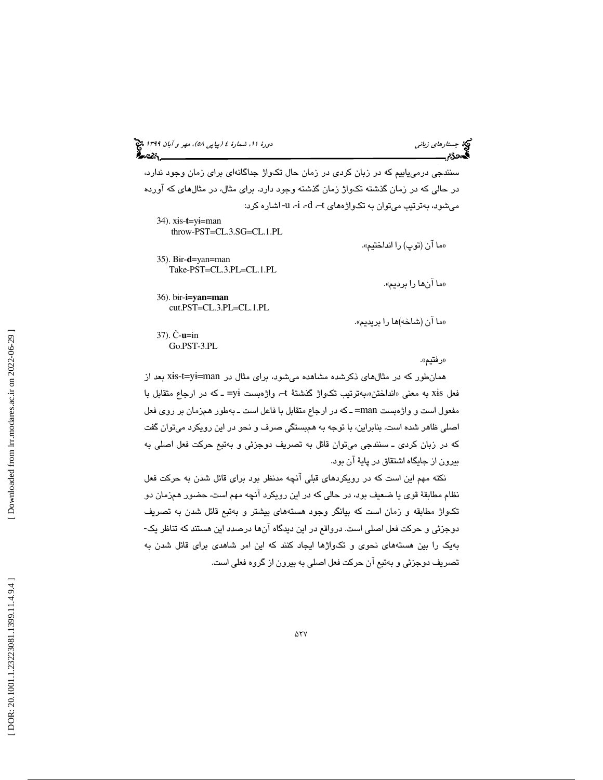(پياپي 58)، مهر و آبان 1399 جستارهاي زباني دورة ،11 شمارة 4

سنندجي درمييابيم كه در زبان كردي در زمان حال تكواژ جداگانهاي براي زمان وجود ندارد، در حالي كه در زمان گذشته تكواژ زمان گذشته وجود دارد. براي مثال، در مثالهاي كه آورده ميشود، بهترتيب ميتوان به تك واژههاي t–، d،- i،- u- اشاره كرد:

34). x ɨs-**t**=y ɨ=man throw-PST=CL.3.SG=CL.1.PL

35). B ɨr-**d**=yan=man Take-PST=CL.3.PL=CL.1.PL

«ما آنها را برديم».

م« ا آن (توپ) را انداختيم».

ما« آن (شاخه)ها را بريديم».

36). b ɨr-**i=yan=man**  cut.PST=CL.3.PL=CL.1.PL

37). Č - **u**=in Go.PST-3.PL

رفتيم ». »

همانطور كه در مثالهای ذكرشده مشاهده میشود، برای مثال در xis-t=yi=man بعد از فعل xis به معني «انداختن»بهترتيب تكواژ گذشتهٔ t– واژهبست yi= ــ كه در ارجاع متقابل با مفعول است و واژهبست man =ـ كه در ارجاع متقابل با فاعل است ـ بهطور همزمان بر روي فعل اصلي ظاهر شده است. بنابراين، با توجه به همبستگي صرف و نحو در اين رويكرد ميتوان گفت كه در زبان كردي ـ سنندجي ميتوان قائل به تصريف دوجزئي و بهتبع حركت فعل اصلي به بيرون از جايگاه اشتقاق در پاية آن بود.

نكته مهم اين است كه در رويكردهاي قبلي آنچه مدنظر بود براي قائل شدن به حركت فعل نظام مطابقة قوي يا ضعيف بود، در حالي كه در اين رويكرد آنچه مهم است، حضور همزمان دو تكواژ مطابقه و زمان است كه بيانگر وجود هستههاي بيشتر و بهتبع قائل شدن به تصريف دوجزئي و حركت فعل اصلي است. درواقع در اين ديدگاه آنها درصدد اين هستند كه تناظر يك- بهيك را بين هستههاي نحوي و تك واژها ايجاد كنند كه اين امر شاهدي براي قائل شدن به تصريف دوجزئي و بهتبع آن حركت فعل اصلي به بيرون از گروه فعلي است.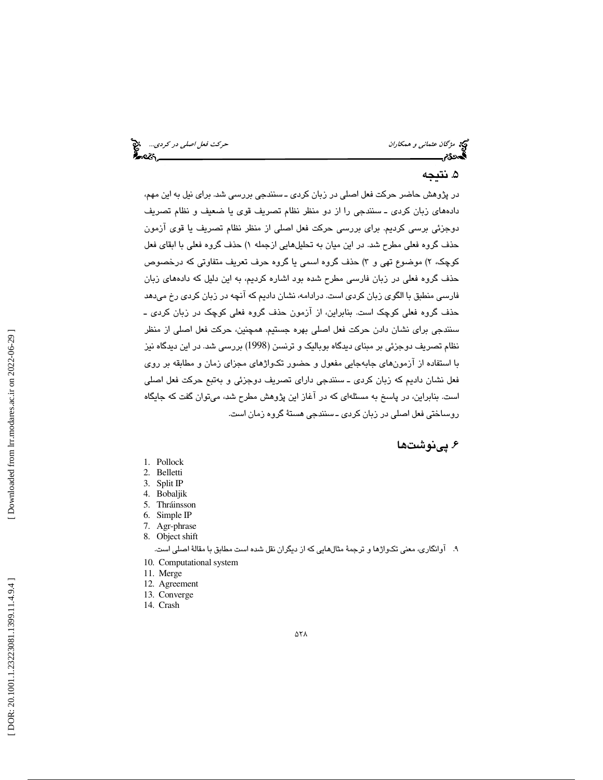می مشرکان عثمان*ي و همكاران* حركت فعل *اصلي در كردي...*. م<sup>وج</sup>ع است.<br>ال**مصري حركت فعل العالمي بين كانت التاريخ العالمي التي تعليم العالمي التي تعليم التي تعليم التي تعليم التي تعلي<br>ال<b>مصري التي تعليم التي تعليم التي تعليم** 

# . نتيجه 5

در پژوهش حاضر حركت فعل اصلي در زبان كردي ـ سنندجي بررسي شد. براي نيل به اين مهم، دادههاي زبان كردي ـ سنندجي را از دو منظر نظام تصريف قوي يا ضعيف و نظام تصريف دوجزئي برسي كرديم. براي بررسي حركت فعل اصلي از منظر نظام تصريف يا قوي آزمون حذف گروه فعلي مطرح شد. در اين ميان به تحليلهايي ازجمله ۱) حذف گروه فعلي با ابقاي فعل كوچك، ۲) موضوع تهي و ۳) حذف گروه اسمي يا گروه حرف تعريف متفاوتي كه درخصوص حذف گروه فعلي در زبان فارسي مطرح شده بود اشاره كرديم، به اين دليل كه دادههاي زبان فارسي منطبق با الگوي زبان كردي است. درادامه، نشان داديم كه آنچه در زبان كردي رخ ميدهد حذف گروه فعلي كوچك است. بنابراين، از آزمون حذف گروه فعلي كوچك در زبان كردي ـ سنندجي براي نشان دادن حركت فعل اصلي بهره جستيم. همچنين، حركت فعل اصلي از منظر نظام تصريف دوجزئي بر مبناي ديدگاه بوباليك و ترنسن (1998) بررسي شد. در اين ديدگاه نيز با استفاده از آزمونهاي جابهجايي مفعول و حضور تكواژهاي مجزاي زمان و مطابقه بر روي فعل نشان داديم كه زبان كردي ـ سنندجي داراي تصريف دوجزئي و بهتبع حركت فعل اصلي است. بنابراين، در پاسخ به مسئلهاي كه در آغاز اين پژوهش مطرح شد، ميتوان گفت كه جايگاه روساختي فعل اصلي در زبان كردي ـ سنندجي هستة گروه زمان است.

# ۶. پینوشتها

- 1. Pollock
- 2. Belletti
- 3. Split IP
- 4. Bobaljik 5. Thráinsson
- 6. Simple IP
- 7. Agr-phrase
- 8. Object shift

#### 9. آوانگاري، معني تكواژها و ترجمة مثالهايي كه از ديگران نقل شده است مطابق با مقالة اصلي است.

- 10. Computational system
- 11. Merge
- 12. Agreement
- 13. Converge
- 14. Crash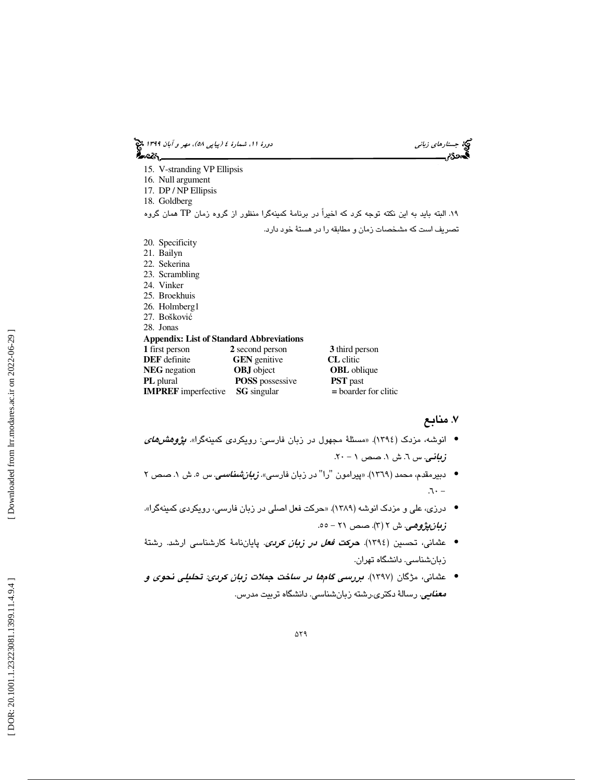| دورهٔ ۱۱، شمارهٔ ٤ (پی <i>اپی ۵۸)، مهر و آبان ۱۳۹۹ چ</i> خ<br><b>گ</b> ردی |                        |                                                                                                   | جستارهای زبانی |
|----------------------------------------------------------------------------|------------------------|---------------------------------------------------------------------------------------------------|----------------|
| 15. V-stranding VP Ellipsis<br>16. Null argument                           |                        |                                                                                                   |                |
| 17. DP / NP Ellipsis                                                       |                        |                                                                                                   |                |
| 18. Goldberg                                                               |                        |                                                                                                   |                |
|                                                                            |                        | ۱۹. البته باید به این نکته توجه کرد که اخیراً در برنامهٔ کمینهگرا منظور از گروه زمان TP همان گروه |                |
|                                                                            |                        | تصريف است كه مشخصات زمان و مطابقه را در هستهٔ خود دارد.                                           |                |
| 20. Specificity                                                            |                        |                                                                                                   |                |
| 21. Bailyn                                                                 |                        |                                                                                                   |                |
| 22. Sekerina                                                               |                        |                                                                                                   |                |
| 23. Scrambling                                                             |                        |                                                                                                   |                |
| 24. Vinker                                                                 |                        |                                                                                                   |                |
| 25. Broekhuis                                                              |                        |                                                                                                   |                |
| 26. Holmberg1                                                              |                        |                                                                                                   |                |
| 27. Bošković                                                               |                        |                                                                                                   |                |
| 28. Jonas                                                                  |                        |                                                                                                   |                |
| <b>Appendix: List of Standard Abbreviations</b>                            |                        |                                                                                                   |                |
| 1 first person                                                             | 2 second person        | 3 third person                                                                                    |                |
| <b>DEF</b> definite                                                        | <b>GEN</b> genitive    | <b>CL</b> clitic                                                                                  |                |
| <b>NEG</b> negation                                                        | <b>OBJ</b> object      | <b>OBL</b> oblique                                                                                |                |
| PL plural                                                                  | <b>POSS</b> possessive | <b>PST</b> past                                                                                   |                |
| <b>IMPREF</b> imperfective                                                 | <b>SG</b> singular     | $=$ boarder for clitic                                                                            |                |
|                                                                            |                        |                                                                                                   |                |

## . منابع 7

- انوشه، مزدك (1394). «مسئلة مجهول در زبان فارسي: رويكردي كمينهگرا». پژوهشهاي زباني. س ٦. ش ١. صص ١ - ٢٠.
- دبیرمقدم، محمد (١٣٦٩). «پیرامون "را" در زبان فارسی»*. زبانشناسی.* س ٥. ش ١. صص ٢  $-$
- درزي، علي و مزدك انوشه (1389). «حركت فعل اصلي در زبان فارسي، رويكردي كمينهگرا». ز*بانپژوهي*. ش ۲ (۳). صص ۲۱ – ٥٥.
- عثماني، تحسين (1394). حركت فعل در زبان كردي. پاياننامة كارشناسي ارشد. رشتة زبانشناسي. دانشگاه تهران.
- عثماني، مژگان (1397). بررسي گامها در ساخت جملات زبان كردي: تحليلي نحوي و *معنايي*. رسالهٔ دکتري.رشته زبانشناسي. دانشگاه تربيت مدرس.

 $\Delta Y$ ۹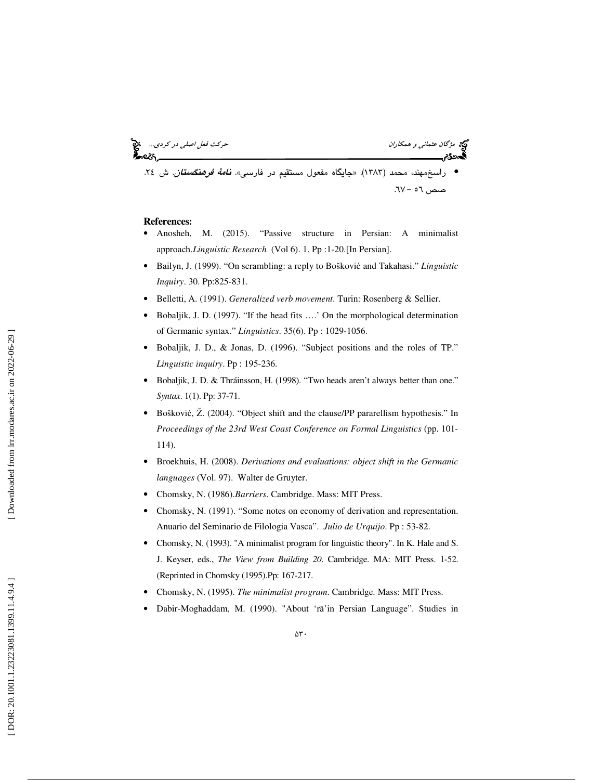مژگان عثماني و همكاران حركت فعل اصلي در كردي... • راسخمهند، محمد (1383). «جايگاه مفعول مستقيم در فارسي». نامة فرهنگستان. ش . 24 صص - 56 67.

#### **References**:

- Anosheh, M. (2015). "Passive structure in Persian: A minimalist approach.*Linguistic Research* (Vol 6). 1. Pp :1-20.[In Persian].
- Bailyn, J. (1999). "On scrambling: a reply to Boškovi ć and Takahasi." *Linguistic Inquiry*. 30. Pp:825-831.
- Belletti, A. (1991). *Generalized verb movement*. Turin: Rosenberg & Sellier.
- Bobaljik, J. D. (1997). "If the head fits ….' On the morphological determination of Germanic syntax." *Linguistics*. 35(6). Pp : 1029-1056.
- Bobaljik, J. D., & Jonas, D. (1996). "Subject positions and the roles of TP." *Linguistic inquiry*. Pp : 195-236.
- Bobaljik, J. D. & Thráinsson, H. (1998). "Two heads aren't always better than one." *Syntax*. 1(1). Pp: 37-71.
- Boškovi ć, Ž. (2004). "Object shift and the clause/PP pararellism hypothesis." In *Proceedings of the 23rd West Coast Conference on Formal Linguistics* (pp. 101- 114).
- Broekhuis, H. (2008). *Derivations and evaluations: object shift in the Germanic languages* (Vol. 97). Walter de Gruyter.
- Chomsky, N. (1986).*Barriers*. Cambridge. Mass: MIT Press.
- Chomsky, N. (1991). "Some notes on economy of derivation and representation. Anuario del Seminario de Filologia Vasca". *Julio de Urquijo*. Pp : 53-82.
- Chomsky, N. (1993). "A minimalist program for linguistic theory". In K. Hale and S. J. Keyser, eds., *The View from Building 20*. Cambridge. MA: MIT Press. 1-52. (Reprinted in Chomsky (1995).Pp: 167-217.
- Chomsky, N. (1995). *The minimalist program*. Cambridge. Mass: MIT Press.
- Dabir-Moghaddam, M. (1990). "About 'rā'in Persian Language". Studies in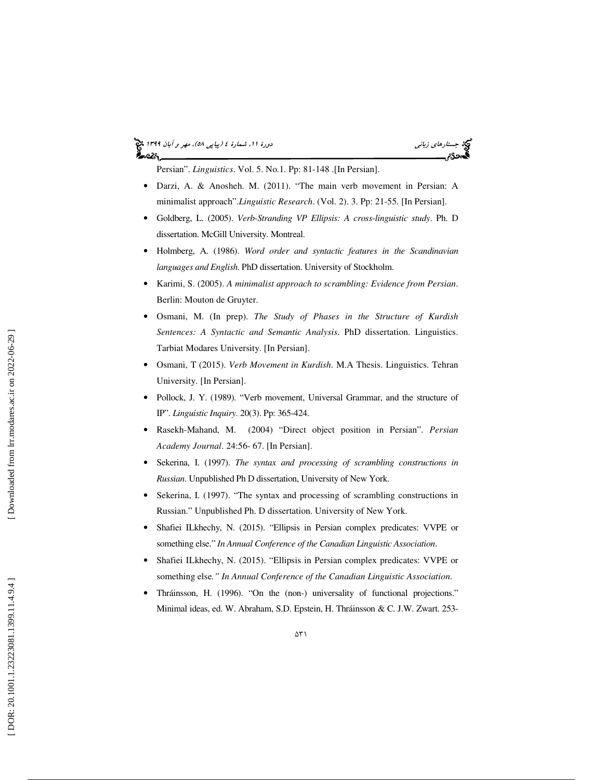# (پياپي 58)، مهر و آبان 1399 جستارهاي زباني دورة ،11 شمارة 4

Persian". *Linguistics*. Vol. 5. No.1. Pp: 81-148 .[In Persian].

- Darzi, A. & Anosheh. M. (2011). "The main verb movement in Persian: A minimalist approach".*Linguistic Research*. (Vol. 2). 3. Pp: 21-55. [In Persian].
- Goldberg, L. (2005). *Verb-Stranding VP Ellipsis: A cross-linguistic study*. Ph. D dissertation. McGill University. Montreal.
- Holmberg, A. (1986). *Word order and syntactic features in the Scandinavian languages and English*. PhD dissertation. University of Stockholm.
- Karimi, S. (2005). *A minimalist approach to scrambling: Evidence from Persian*. Berlin: Mouton de Gruyter.
- Osmani, M. (In prep). *The Study of Phases in the Structure of Kurdish Sentences: A Syntactic and Semantic Analysis*. PhD dissertation. Linguistics. Tarbiat Modares University. [In Persian].
- Osmani, T (2015). *Verb Movement in Kurdish*. M.A Thesis. Linguistics. Tehran University. [In Persian].
- Pollock, J. Y. (1989). "Verb movement, Universal Grammar, and the structure of IP". *Linguistic Inquiry*. 20(3). Pp: 365-424.
- Rasekh-Mahand, M. (2004) "Direct object position in Persian". *Persian Academy Journal*. 24:56- 67. [In Persian].
- Sekerina, I. (1997). *The syntax and processing of scrambling constructions in Russian*. Unpublished Ph D dissertation, University of New York.
- Sekerina, I. (1997). "The syntax and processing of scrambling constructions in Russian." Unpublished Ph. D dissertation. University of New York.
- Shafiei ILkhechy, N. (2015). "Ellipsis in Persian complex predicates: VVPE or something else." *In Annual Conference of the Canadian Linguistic Association*.
- Shafiei ILkhechy, N. (2015). "Ellipsis in Persian complex predicates: VVPE or something else*." In Annual Conference of the Canadian Linguistic Association*.
- Thráinsson, H. (1996). "On the (non-) universality of functional projections." Minimal ideas, ed. W. Abraham, S.D. Epstein, H. Thráinsson & C. J.W. Zwart. 253-